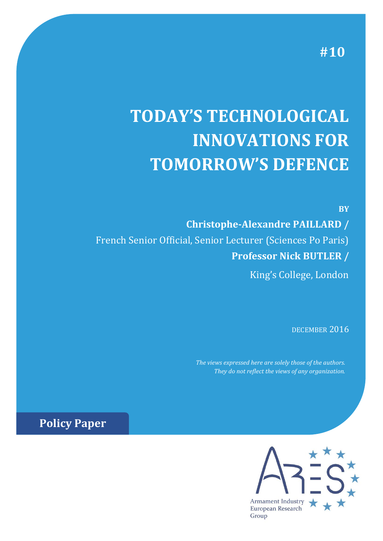**#10**

**BY**

# **TODAY'S TECHNOLOGICAL INNOVATIONS FOR TOMORROW'S DEFENCE**

**Christophe-Alexandre PAILLARD /** French Senior Official, Senior Lecturer (Sciences Po Paris) **Professor Nick BUTLER /** King's College, London

DECEMBER 2016

*The views expressed here are solely those of the authors. They do not reflect the views of any organization.*

**Policy Paper** 

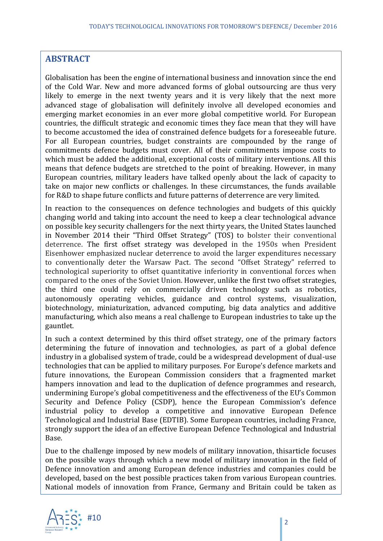## **ABSTRACT**

Globalisation has been the engine of international business and innovation since the end of the Cold War. New and more advanced forms of global outsourcing are thus very likely to emerge in the next twenty years and it is very likely that the next more advanced stage of globalisation will definitely involve all developed economies and emerging market economies in an ever more global competitive world. For European countries, the difficult strategic and economic times they face mean that they will have to become accustomed the idea of constrained defence budgets for a foreseeable future. For all European countries, budget constraints are compounded by the range of commitments defence budgets must cover. All of their commitments impose costs to which must be added the additional, exceptional costs of military interventions. All this means that defence budgets are stretched to the point of breaking. However, in many European countries, military leaders have talked openly about the lack of capacity to take on major new conflicts or challenges. In these circumstances, the funds available for R&D to shape future conflicts and future patterns of deterrence are very limited.

In reaction to the consequences on defence technologies and budgets of this quickly changing world and taking into account the need to keep a clear technological advance on possible key security challengers for the next thirty years, the United States launched in November 2014 their "Third Offset Strategy" (TOS) to bolster their conventional deterrence. The first offset strategy was developed in the 1950s when President Eisenhower emphasized nuclear deterrence to avoid the larger expenditures necessary to conventionally deter the Warsaw Pact. The second "Offset Strategy" referred to technological superiority to offset quantitative inferiority in conventional forces when compared to the ones of the Soviet Union. However, unlike the first two offset strategies, the third one could rely on commercially driven technology such as robotics, autonomously operating vehicles, guidance and control systems, visualization, biotechnology, miniaturization, advanced computing, big data analytics and additive manufacturing, which also means a real challenge to European industries to take up the gauntlet.

In such a context determined by this third offset strategy, one of the primary factors determining the future of innovation and technologies, as part of a global defence industry in a globalised system of trade, could be a widespread development of dual-use technologies that can be applied to military purposes. For Europe's defence markets and future innovations, the European Commission considers that a fragmented market hampers innovation and lead to the duplication of defence programmes and research, undermining Europe's global competitiveness and the effectiveness of the EU's Common Security and Defence Policy (CSDP), hence the European Commission's defence industrial policy to develop a competitive and innovative European Defence Technological and Industrial Base (EDTIB). Some European countries, including France, strongly support the idea of an effective European Defence Technological and Industrial Base.

developed, based on the best possible practices taken from various European countries. Due to the challenge imposed by new models of military innovation, thisarticle focuses on the possible ways through which a new model of military innovation in the field of Defence innovation and among European defence industries and companies could be National models of innovation from France, Germany and Britain could be taken as

examples for mixed military and civilian innovative systems. This process could lead

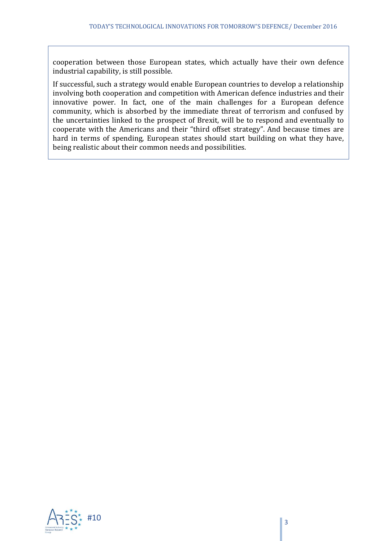cooperation between those European states, which actually have their own defence industrial capability, is still possible.

If successful, such a strategy would enable European countries to develop a relationship involving both cooperation and competition with American defence industries and their innovative power. In fact, one of the main challenges for a European defence community, which is absorbed by the immediate threat of terrorism and confused by the uncertainties linked to the prospect of Brexit, will be to respond and eventually to cooperate with the Americans and their "third offset strategy". And because times are hard in terms of spending, European states should start building on what they have, being realistic about their common needs and possibilities.

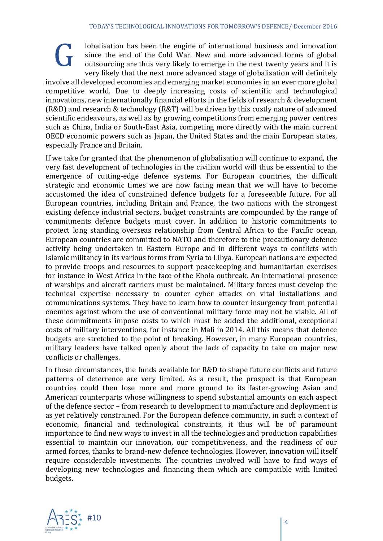lobalisation has been the engine of international business and innovation since the end of the Cold War. New and more advanced forms of global outsourcing are thus very likely to emerge in the next twenty years and it is very likely that the next more advanced stage of globalisation will definitely

involve all developed economies and emerging market economies in an ever more global competitive world. Due to deeply increasing costs of scientific and technological innovations, new internationally financial efforts in the fields of research & development (R&D) and research & technology (R&T) will be driven by this costly nature of advanced scientific endeavours, as well as by growing competitions from emerging power centres such as China, India or South-East Asia, competing more directly with the main current OECD economic powers such as Japan, the United States and the main European states, especially France and Britain.

If we take for granted that the phenomenon of globalisation will continue to expand, the very fast development of technologies in the civilian world will thus be essential to the emergence of cutting-edge defence systems. For European countries, the difficult strategic and economic times we are now facing mean that we will have to become accustomed the idea of constrained defence budgets for a foreseeable future. For all European countries, including Britain and France, the two nations with the strongest existing defence industrial sectors, budget constraints are compounded by the range of commitments defence budgets must cover. In addition to historic commitments to protect long standing overseas relationship from Central Africa to the Pacific ocean, European countries are committed to NATO and therefore to the precautionary defence activity being undertaken in Eastern Europe and in different ways to conflicts with Islamic militancy in its various forms from Syria to Libya. European nations are expected to provide troops and resources to support peacekeeping and humanitarian exercises for instance in West Africa in the face of the Ebola outbreak. An international presence of warships and aircraft carriers must be maintained. Military forces must develop the technical expertise necessary to counter cyber attacks on vital installations and communications systems. They have to learn how to counter insurgency from potential enemies against whom the use of conventional military force may not be viable. All of these commitments impose costs to which must be added the additional, exceptional costs of military interventions, for instance in Mali in 2014. All this means that defence budgets are stretched to the point of breaking. However, in many European countries, military leaders have talked openly about the lack of capacity to take on major new conflicts or challenges.

In these circumstances, the funds available for R&D to shape future conflicts and future patterns of deterrence are very limited. As a result, the prospect is that European countries could then lose more and more ground to its faster-growing Asian and American counterparts whose willingness to spend substantial amounts on each aspect of the defence sector – from research to development to manufacture and deployment is as yet relatively constrained. For the European defence community, in such a context of economic, financial and technological constraints, it thus will be of paramount importance to find new ways to invest in all the technologies and production capabilities essential to maintain our innovation, our competitiveness, and the readiness of our armed forces, thanks to brand-new defence technologies. However, innovation will itself require considerable investments. The countries involved will have to find ways of developing new technologies and financing them which are compatible with limited budgets.



G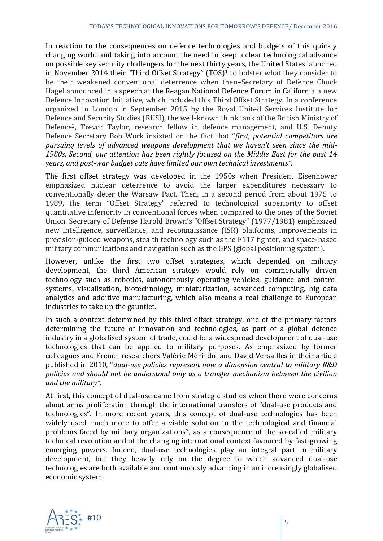In reaction to the consequences on defence technologies and budgets of this quickly changing world and taking into account the need to keep a clear technological advance on possible key security challengers for the next thirty years, the United States launched in November 2014 their "Third Offset Strategy" (TOS)<sup>1</sup> to bolster what they consider to be their weakened conventional deterrence when then–Secretary of Defence Chuck Hagel announced in a speech at the Reagan National Defence Forum in California a new Defence Innovation Initiative, which included this Third Offset Strategy. In a conference organized in London in September 2015 by the Royal United Services Institute for Defence and Security Studies (RUSI), the well-known think tank of the British Ministry of Defence2, Trevor Taylor, research fellow in defence management, and U.S. Deputy Defence Secretary Bob Work insisted on the fact that "*first, potential competitors are pursuing levels of advanced weapons development that we haven't seen since the mid-1980s. Second, our attention has been rightly focused on the Middle East for the past 14 years, and post-war budget cuts have limited our own technical investments".*

The first offset strategy was developed in the 1950s when President Eisenhower emphasized nuclear deterrence to avoid the larger expenditures necessary to conventionally deter the Warsaw Pact. Then, in a second period from about 1975 to 1989, the term "Offset Strategy" referred to technological superiority to offset quantitative inferiority in conventional forces when compared to the ones of the Soviet Union. Secretary of Defense Harold Brown's "Offset Strategy" (1977/1981) emphasized new intelligence, surveillance, and reconnaissance (ISR) platforms, improvements in precision-guided weapons, stealth technology such as the F117 fighter, and space-based military communications and navigation such as the GPS (global positioning system).

However, unlike the first two offset strategies, which depended on military development, the third American strategy would rely on commercially driven technology such as robotics, autonomously operating vehicles, guidance and control systems, visualization, biotechnology, miniaturization, advanced computing, big data analytics and additive manufacturing, which also means a real challenge to European industries to take up the gauntlet.

In such a context determined by this third offset strategy, one of the primary factors determining the future of innovation and technologies, as part of a global defence industry in a globalised system of trade, could be a widespread development of dual-use technologies that can be applied to military purposes. As emphasized by former colleagues and French researchers Valérie Mérindol and David Versailles in their article published in 2010, "*dual-use policies represent now a dimension central to military R&D policies and should not be understood only as a transfer mechanism between the civilian and the military"*.

At first, this concept of dual-use came from strategic studies when there were concerns about arms proliferation through the international transfers of "dual-use products and technologies". In more recent years, this concept of dual-use technologies has been widely used much more to offer a viable solution to the technological and financial problems faced by military organizations<sup>3</sup>, as a consequence of the so-called military technical revolution and of the changing international context favoured by fast-growing emerging powers. Indeed, dual-use technologies play an integral part in military development, but they heavily rely on the degree to which advanced dual-use technologies are both available and continuously advancing in an increasingly globalised economic system.

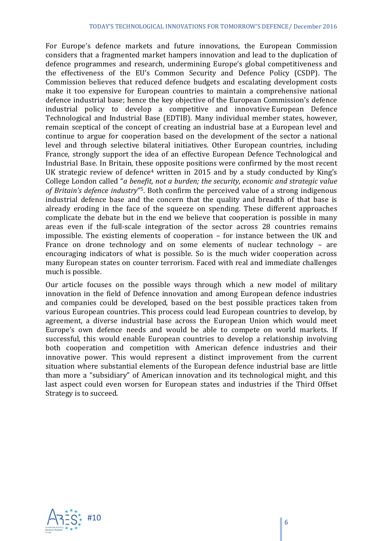For Europe's defence markets and future innovations, the European Commission considers that a fragmented market hampers innovation and lead to the duplication of defence programmes and research, undermining Europe's global competitiveness and the effectiveness of the EU's Common Security and Defence Policy (CSDP). The Commission believes that reduced defence budgets and escalating development costs make it too expensive for European countries to maintain a comprehensive national defence industrial base; hence the key objective of the European Commission's defence industrial policy to develop a competitive and innovative European Defence Technological and Industrial Base (EDTIB). Many individual member states, however, remain sceptical of the concept of creating an industrial base at a European level and continue to argue for cooperation based on the development of the sector a national level and through selective bilateral initiatives. Other European countries, including France, strongly support the idea of an effective European Defence Technological and Industrial Base. In Britain, these opposite positions were confirmed by the most recent UK strategic review of defence<sup>4</sup> written in 2015 and by a study conducted by King's College London called "*a benefit, not a burden; the security, economic and strategic value of Britain's defence industry*" <sup>5</sup>. Both confirm the perceived value of a strong indigenous industrial defence base and the concern that the quality and breadth of that base is already eroding in the face of the squeeze on spending. These different approaches complicate the debate but in the end we believe that cooperation is possible in many areas even if the full-scale integration of the sector across 28 countries remains impossible. The existing elements of cooperation – for instance between the UK and France on drone technology and on some elements of nuclear technology – are encouraging indicators of what is possible. So is the much wider cooperation across many European states on counter terrorism. Faced with real and immediate challenges much is possible.

Our article focuses on the possible ways through which a new model of military innovation in the field of Defence innovation and among European defence industries and companies could be developed, based on the best possible practices taken from various European countries. This process could lead European countries to develop, by agreement, a diverse industrial base across the European Union which would meet Europe's own defence needs and would be able to compete on world markets. If successful, this would enable European countries to develop a relationship involving both cooperation and competition with American defence industries and their innovative power. This would represent a distinct improvement from the current situation where substantial elements of the European defence industrial base are little than more a "subsidiary" of American innovation and its technological might, and this last aspect could even worsen for European states and industries if the Third Offset Strategy is to succeed.

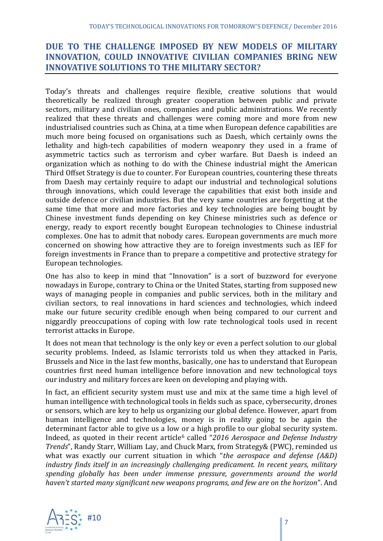# **DUE TO THE CHALLENGE IMPOSED BY NEW MODELS OF MILITARY INNOVATION, COULD INNOVATIVE CIVILIAN COMPANIES BRING NEW INNOVATIVE SOLUTIONS TO THE MILITARY SECTOR?**

Today's threats and challenges require flexible, creative solutions that would theoretically be realized through greater cooperation between public and private sectors, military and civilian ones, companies and public administrations. We recently realized that these threats and challenges were coming more and more from new industrialised countries such as China, at a time when European defence capabilities are much more being focused on organisations such as Daesh, which certainly owns the lethality and high-tech capabilities of modern weaponry they used in a frame of asymmetric tactics such as terrorism and cyber warfare. But Daesh is indeed an organization which as nothing to do with the Chinese industrial might the American Third Offset Strategy is due to counter. For European countries, countering these threats from Daesh may certainly require to adapt our industrial and technological solutions through innovations, which could leverage the capabilities that exist both inside and outside defence or civilian industries. But the very same countries are forgetting at the same time that more and more factories and key technologies are being bought by Chinese investment funds depending on key Chinese ministries such as defence or energy, ready to export recently bought European technologies to Chinese industrial complexes. One has to admit that nobody cares. European governments are much more concerned on showing how attractive they are to foreign investments such as IEF for foreign investments in France than to prepare a competitive and protective strategy for European technologies.

One has also to keep in mind that "Innovation" is a sort of buzzword for everyone nowadays in Europe, contrary to China or the United States, starting from supposed new ways of managing people in companies and public services, both in the military and civilian sectors, to real innovations in hard sciences and technologies, which indeed make our future security credible enough when being compared to our current and niggardly preoccupations of coping with low rate technological tools used in recent terrorist attacks in Europe.

It does not mean that technology is the only key or even a perfect solution to our global security problems. Indeed, as Islamic terrorists told us when they attacked in Paris, Brussels and Nice in the last few months, basically, one has to understand that European countries first need human intelligence before innovation and new technological toys our industry and military forces are keen on developing and playing with.

In fact, an efficient security system must use and mix at the same time a high level of human intelligence with technological tools in fields such as space, cybersecurity, drones or sensors, which are key to help us organizing our global defence. However, apart from human intelligence and technologies, money is in reality going to be again the determinant factor able to give us a low or a high profile to our global security system. Indeed, as quoted in their recent article<sup>6</sup> called "*2016 Aerospace and Defense Industry Trends*", Randy Starr, William Lay, and Chuck Marx, from Strategy& (PWC), reminded us what was exactly our current situation in which "*the aerospace and defense (A&D) industry finds itself in an increasingly challenging predicament. In recent years, military spending globally has been under immense pressure, governments around the world haven't started many significant new weapons programs, and few are on the horizon*". And

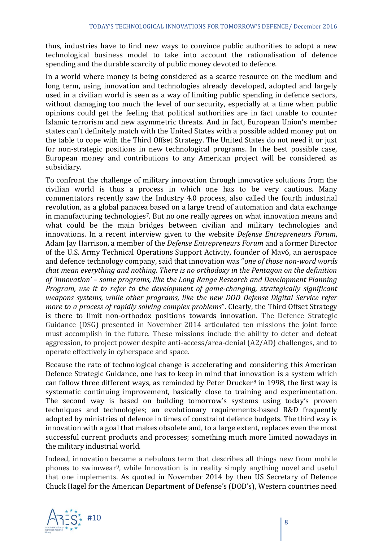thus, industries have to find new ways to convince public authorities to adopt a new technological business model to take into account the rationalisation of defence spending and the durable scarcity of public money devoted to defence.

In a world where money is being considered as a scarce resource on the medium and long term, using innovation and technologies already developed, adopted and largely used in a civilian world is seen as a way of limiting public spending in defence sectors, without damaging too much the level of our security, especially at a time when public opinions could get the feeling that political authorities are in fact unable to counter Islamic terrorism and new asymmetric threats. And in fact, European Union's member states can't definitely match with the United States with a possible added money put on the table to cope with the Third Offset Strategy. The United States do not need it or just for non-strategic positions in new technological programs. In the best possible case, European money and contributions to any American project will be considered as subsidiary.

To confront the challenge of military innovation through innovative solutions from the civilian world is thus a process in which one has to be very cautious. Many commentators recently saw the Industry 4.0 process, also called the fourth industrial revolution, as a global panacea based on a large trend of automation and data exchange in manufacturing technologies7. But no one really agrees on what innovation means and what could be the main bridges between civilian and military technologies and innovations. In a recent interview given to the website *Defense Entrepreneurs Forum*, Adam Jay Harrison, a member of the *Defense Entrepreneurs Forum* and a former Director of the U.S. Army Technical Operations Support Activity, founder of Mav6, an aerospace and defence technology company, said that innovation was "*one of those non-word words that mean everything and nothing. There is no orthodoxy in the Pentagon on the definition of 'innovation' – some programs, like the Long Range Research and Development Planning Program, use it to refer to the development of game-changing, strategically significant weapons systems, while other programs, like the new DOD Defense Digital Service refer more to a process of rapidly solving complex problems*". Clearly, the Third Offset Strategy is there to limit non-orthodox positions towards innovation. The Defence Strategic Guidance (DSG) presented in November 2014 articulated ten missions the joint force must accomplish in the future. These missions include the ability to deter and defeat aggression, to project power despite anti-access/area-denial (A2/AD) challenges, and to operate effectively in cyberspace and space.

Because the rate of technological change is accelerating and considering this American Defence Strategic Guidance, one has to keep in mind that innovation is a system which can follow three different ways, as reminded by Peter Drucker $8$  in 1998, the first way is systematic continuing improvement, basically close to training and experimentation. The second way is based on building tomorrow's systems using today's proven techniques and technologies; an evolutionary requirements-based R&D frequently adopted by ministries of defence in times of constraint defence budgets. The third way is innovation with a goal that makes obsolete and, to a large extent, replaces even the most successful current products and processes; something much more limited nowadays in the military industrial world.

Indeed, innovation became a nebulous term that describes all things new from mobile phones to swimwear9, while Innovation is in reality simply anything novel and useful that one implements. As quoted in November 2014 by then US Secretary of Defence Chuck Hagel for the American Department of Defense's (DOD's), Western countries need

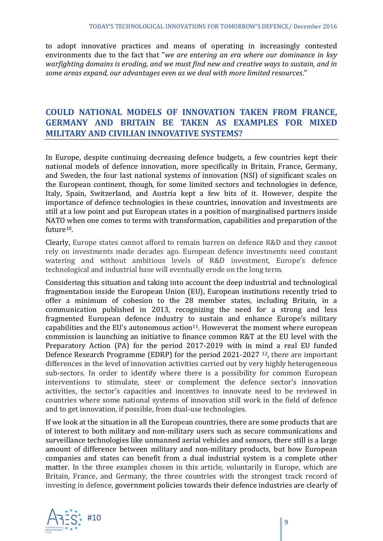to adopt innovative practices and means of operating in increasingly contested environments due to the fact that "*we are entering an era where our dominance in key warfighting domains is eroding, and we must find new and creative ways to sustain, and in some areas expand, our advantages even as we deal with more limited resources*."

#### **COULD NATIONAL MODELS OF INNOVATION TAKEN FROM FRANCE, GERMANY AND BRITAIN BE TAKEN AS EXAMPLES FOR MIXED MILITARY AND CIVILIAN INNOVATIVE SYSTEMS?**

In Europe, despite continuing decreasing defence budgets, a few countries kept their national models of defence innovation, more specifically in Britain, France, Germany, and Sweden, the four last national systems of innovation (NSI) of significant scales on the European continent, though, for some limited sectors and technologies in defence, Italy, Spain, Switzerland, and Austria kept a few bits of it. However, despite the importance of defence technologies in these countries, innovation and investments are still at a low point and put European states in a position of marginalised partners inside NATO when one comes to terms with transformation, capabilities and preparation of the future10.

Clearly, Europe states cannot afford to remain barren on defence R&D and they cannot rely on investments made decades ago. European defence investments need constant watering and without ambitious levels of R&D investment, Europe's defence technological and industrial base will eventually erode on the long term.

Considering this situation and taking into account the deep industrial and technological fragmentation inside the European Union (EU), European institutions recently tried to offer a minimum of cohesion to the 28 member states, including Britain, in a communication published in 2013, recognizing the need for a strong and less fragmented European defence industry to sustain and enhance Europe's military capabilities and the EU's autonomous action<sup>11</sup>. Howeverat the moment where european commission is launching an initiative to finance common R&T at the EU level with the Preparatory Action (PA) for the period 2017-2019 with in mind a real EU funded Defence Research Programme (EDRP) for the period 2021-2027 12, there are important differences in the level of innovation activities carried out by very highly heterogeneous sub-sectors. In order to identify where there is a possibility for common European interventions to stimulate, steer or complement the defence sector's innovation activities, the sector's capacities and incentives to innovate need to be reviewed in countries where some national systems of innovation still work in the field of defence and to get innovation, if possible, from dual-use technologies.

If we look at the situation in all the European countries, there are some products that are of interest to both military and non-military users such as secure communications and surveillance technologies like unmanned aerial vehicles and sensors, there still is a large amount of difference between military and non-military products, but how European companies and states can benefit from a dual industrial system is a complete other matter. In the three examples chosen in this article, voluntarily in Europe, which are Britain, France, and Germany, the three countries with the strongest track record of investing in defence, government policies towards their defence industries are clearly of

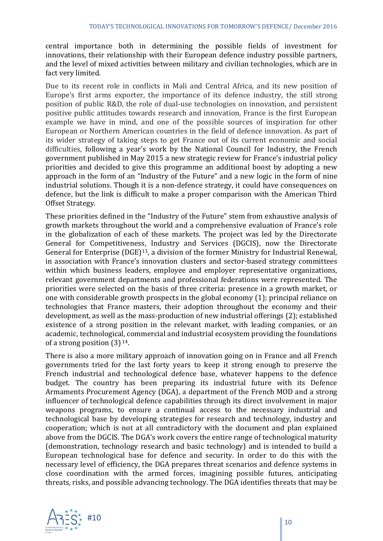central importance both in determining the possible fields of investment for innovations, their relationship with their European defence industry possible partners, and the level of mixed activities between military and civilian technologies, which are in fact very limited.

Due to its recent role in conflicts in Mali and Central Africa, and its new position of Europe's first arms exporter, the importance of its defence industry, the still strong position of public R&D, the role of dual-use technologies on innovation, and persistent positive public attitudes towards research and innovation, France is the first European example we have in mind, and one of the possible sources of inspiration for other European or Northern American countries in the field of defence innovation. As part of its wider strategy of taking steps to get France out of its current economic and social difficulties, following a year's work by the National Council for Industry, the French government published in May 2015 a new strategic review for France's industrial policy priorities and decided to give this programme an additional boost by adopting a new approach in the form of an "Industry of the Future" and a new logic in the form of nine industrial solutions. Though it is a non-defence strategy, it could have consequences on defence, but the link is difficult to make a proper comparison with the American Third Offset Strategy.

These priorities defined in the "Industry of the Future" stem from exhaustive analysis of growth markets throughout the world and a comprehensive evaluation of France's role in the globalization of each of these markets. The project was led by the Directorate General for Competitiveness, Industry and Services (DGCIS), now the Directorate General for Enterprise (DGE)13, a division of the former Ministry for Industrial Renewal, in association with France's innovation clusters and sector-based strategy committees within which business leaders, employee and employer representative organizations, relevant government departments and professional federations were represented. The priorities were selected on the basis of three criteria: presence in a growth market, or one with considerable growth prospects in the global economy (1); principal reliance on technologies that France masters, their adoption throughout the economy and their development, as well as the mass-production of new industrial offerings (2); established existence of a strong position in the relevant market, with leading companies, or an academic, technological, commercial and industrial ecosystem providing the foundations of a strong position (3) <sup>14</sup>.

There is also a more military approach of innovation going on in France and all French governments tried for the last forty years to keep it strong enough to preserve the French industrial and technological defence base, whatever happens to the defence budget. The country has been preparing its industrial future with its Defence Armaments Procurement Agency (DGA), a department of the French MOD and a strong influencer of technological defence capabilities through its direct involvement in major weapons programs, to ensure a continual access to the necessary industrial and technological base by developing strategies for research and technology, industry and cooperation; which is not at all contradictory with the document and plan explained above from the DGCIS. The DGA's work covers the entire range of technological maturity (demonstration, technology research and basic technology) and is intended to build a European technological base for defence and security. In order to do this with the necessary level of efficiency, the DGA prepares threat scenarios and defence systems in close coordination with the armed forces, imagining possible futures, anticipating threats, risks, and possible advancing technology. The DGA identifies threats that may be

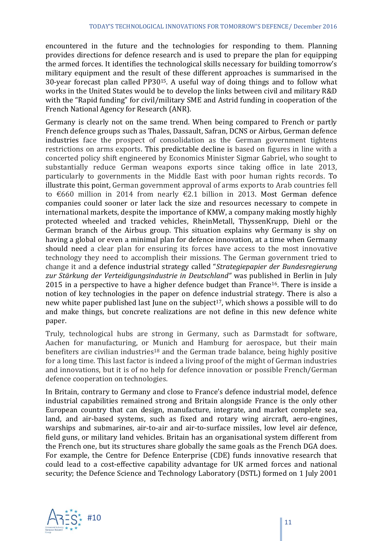encountered in the future and the technologies for responding to them. Planning provides directions for defence research and is used to prepare the plan for equipping the armed forces. It identifies the technological skills necessary for building tomorrow's military equipment and the result of these different approaches is summarised in the 30-year forecast plan called PP3015. A useful way of doing things and to follow what works in the United States would be to develop the links between civil and military R&D with the "Rapid funding" for civil/military SME and Astrid funding in cooperation of the French National Agency for Research (ANR).

Germany is clearly not on the same trend. When being compared to French or partly French defence groups such as Thales, Dassault, Safran, DCNS or Airbus, German defence industries face the prospect of consolidation as the German government tightens restrictions on arms exports. This predictable decline is based on figures in line with a concerted policy shift engineered by Economics Minister Sigmar Gabriel, who sought to substantially reduce German weapons exports since taking office in late 2013, particularly to governments in the Middle East with poor human rights records. To illustrate this point, German government approval of arms exports to Arab countries fell to €660 million in 2014 from nearly €2.1 billion in 2013. Most German defence companies could sooner or later lack the size and resources necessary to compete in international markets, despite the importance of KMW, a company making mostly highly protected wheeled and tracked vehicles, RheinMetall, ThyssenKrupp, Diehl or the German branch of the Airbus group. This situation explains why Germany is shy on having a global or even a minimal plan for defence innovation, at a time when Germany should need a clear plan for ensuring its forces have access to the most innovative technology they need to accomplish their missions. The German government tried to change it and a defence industrial strategy called "*Strategiepapier der Bundesregierung zur Stärkung der Verteidigungsindustrie in Deutschland"* was published in Berlin in July 2015 in a perspective to have a higher defence budget than France<sup>16</sup>. There is inside a notion of key technologies in the paper on defence industrial strategy. There is also a new white paper published last June on the subject<sup>17</sup>, which shows a possible will to do and make things, but concrete realizations are not define in this new defence white paper.

Truly, technological hubs are strong in Germany, such as Darmstadt for software, Aachen for manufacturing, or Munich and Hamburg for aerospace, but their main benefiters are civilian industries<sup>18</sup> and the German trade balance, being highly positive for a long time. This last factor is indeed a living proof of the might of German industries and innovations, but it is of no help for defence innovation or possible French/German defence cooperation on technologies.

In Britain, contrary to Germany and close to France's defence industrial model, defence industrial capabilities remained strong and Britain alongside France is the only other European country that can design, manufacture, integrate, and market complete sea, land, and air-based systems, such as fixed and rotary wing aircraft, aero-engines, warships and submarines, air-to-air and air-to-surface missiles, low level air defence, field guns, or military land vehicles. Britain has an organisational system different from the French one, but its structures share globally the same goals as the French DGA does. For example, the Centre for Defence Enterprise (CDE) funds innovative research that could lead to a cost-effective capability advantage for UK armed forces and national security; the Defence Science and Technology Laboratory (DSTL) formed on 1 July 2001

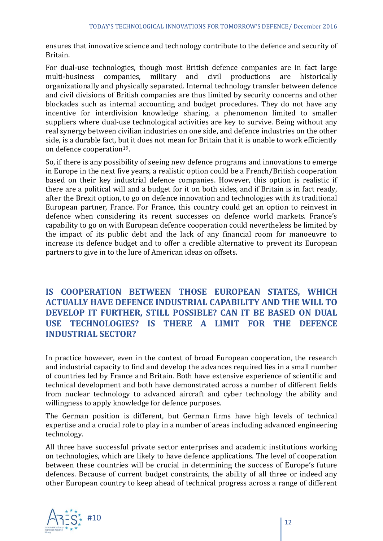ensures that innovative science and technology contribute to the defence and security of Britain.

For dual-use technologies, though most British defence companies are in fact large multi-business companies, military and civil productions are historically organizationally and physically separated. Internal technology transfer between defence and civil divisions of British companies are thus limited by security concerns and other blockades such as internal accounting and budget procedures. They do not have any incentive for interdivision knowledge sharing, a phenomenon limited to smaller suppliers where dual-use technological activities are key to survive. Being without any real synergy between civilian industries on one side, and defence industries on the other side, is a durable fact, but it does not mean for Britain that it is unable to work efficiently on defence cooperation<sup>19</sup>.

So, if there is any possibility of seeing new defence programs and innovations to emerge in Europe in the next five years, a realistic option could be a French/British cooperation based on their key industrial defence companies. However, this option is realistic if there are a political will and a budget for it on both sides, and if Britain is in fact ready, after the Brexit option, to go on defence innovation and technologies with its traditional European partner, France. For France, this country could get an option to reinvest in defence when considering its recent successes on defence world markets. France's capability to go on with European defence cooperation could nevertheless be limited by the impact of its public debt and the lack of any financial room for manoeuvre to increase its defence budget and to offer a credible alternative to prevent its European partners to give in to the lure of American ideas on offsets.

**IS COOPERATION BETWEEN THOSE EUROPEAN STATES, WHICH ACTUALLY HAVE DEFENCE INDUSTRIAL CAPABILITY AND THE WILL TO DEVELOP IT FURTHER, STILL POSSIBLE? CAN IT BE BASED ON DUAL USE TECHNOLOGIES? IS THERE A LIMIT FOR THE DEFENCE INDUSTRIAL SECTOR?**

In practice however, even in the context of broad European cooperation, the research and industrial capacity to find and develop the advances required lies in a small number of countries led by France and Britain. Both have extensive experience of scientific and technical development and both have demonstrated across a number of different fields from nuclear technology to advanced aircraft and cyber technology the ability and willingness to apply knowledge for defence purposes.

The German position is different, but German firms have high levels of technical expertise and a crucial role to play in a number of areas including advanced engineering technology.

All three have successful private sector enterprises and academic institutions working on technologies, which are likely to have defence applications. The level of cooperation between these countries will be crucial in determining the success of Europe's future defences. Because of current budget constraints, the ability of all three or indeed any other European country to keep ahead of technical progress across a range of different

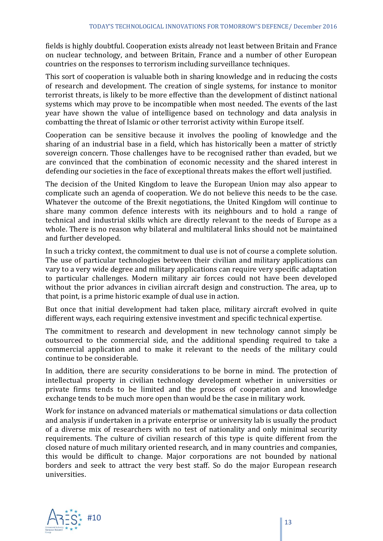fields is highly doubtful. Cooperation exists already not least between Britain and France on nuclear technology, and between Britain, France and a number of other European countries on the responses to terrorism including surveillance techniques.

This sort of cooperation is valuable both in sharing knowledge and in reducing the costs of research and development. The creation of single systems, for instance to monitor terrorist threats, is likely to be more effective than the development of distinct national systems which may prove to be incompatible when most needed. The events of the last year have shown the value of intelligence based on technology and data analysis in combatting the threat of Islamic or other terrorist activity within Europe itself.

Cooperation can be sensitive because it involves the pooling of knowledge and the sharing of an industrial base in a field, which has historically been a matter of strictly sovereign concern. Those challenges have to be recognised rather than evaded, but we are convinced that the combination of economic necessity and the shared interest in defending our societies in the face of exceptional threats makes the effort well justified.

The decision of the United Kingdom to leave the European Union may also appear to complicate such an agenda of cooperation. We do not believe this needs to be the case. Whatever the outcome of the Brexit negotiations, the United Kingdom will continue to share many common defence interests with its neighbours and to hold a range of technical and industrial skills which are directly relevant to the needs of Europe as a whole. There is no reason why bilateral and multilateral links should not be maintained and further developed.

In such a tricky context, the commitment to dual use is not of course a complete solution. The use of particular technologies between their civilian and military applications can vary to a very wide degree and military applications can require very specific adaptation to particular challenges. Modern military air forces could not have been developed without the prior advances in civilian aircraft design and construction. The area, up to that point, is a prime historic example of dual use in action.

But once that initial development had taken place, military aircraft evolved in quite different ways, each requiring extensive investment and specific technical expertise.

The commitment to research and development in new technology cannot simply be outsourced to the commercial side, and the additional spending required to take a commercial application and to make it relevant to the needs of the military could continue to be considerable.

In addition, there are security considerations to be borne in mind. The protection of intellectual property in civilian technology development whether in universities or private firms tends to be limited and the process of cooperation and knowledge exchange tends to be much more open than would be the case in military work.

Work for instance on advanced materials or mathematical simulations or data collection and analysis if undertaken in a private enterprise or university lab is usually the product of a diverse mix of researchers with no test of nationality and only minimal security requirements. The culture of civilian research of this type is quite different from the closed nature of much military oriented research, and in many countries and companies, this would be difficult to change. Major corporations are not bounded by national borders and seek to attract the very best staff. So do the major European research universities.

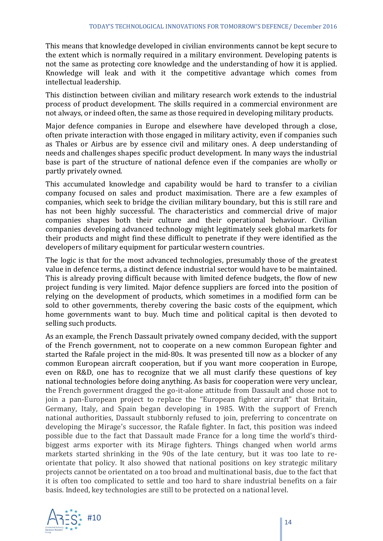This means that knowledge developed in civilian environments cannot be kept secure to the extent which is normally required in a military environment. Developing patents is not the same as protecting core knowledge and the understanding of how it is applied. Knowledge will leak and with it the competitive advantage which comes from intellectual leadership.

This distinction between civilian and military research work extends to the industrial process of product development. The skills required in a commercial environment are not always, or indeed often, the same as those required in developing military products.

Major defence companies in Europe and elsewhere have developed through a close, often private interaction with those engaged in military activity, even if companies such as Thales or Airbus are by essence civil and military ones. A deep understanding of needs and challenges shapes specific product development. In many ways the industrial base is part of the structure of national defence even if the companies are wholly or partly privately owned.

This accumulated knowledge and capability would be hard to transfer to a civilian company focused on sales and product maximisation. There are a few examples of companies, which seek to bridge the civilian military boundary, but this is still rare and has not been highly successful. The characteristics and commercial drive of major companies shapes both their culture and their operational behaviour. Civilian companies developing advanced technology might legitimately seek global markets for their products and might find these difficult to penetrate if they were identified as the developers of military equipment for particular western countries.

The logic is that for the most advanced technologies, presumably those of the greatest value in defence terms, a distinct defence industrial sector would have to be maintained. This is already proving difficult because with limited defence budgets, the flow of new project funding is very limited. Major defence suppliers are forced into the position of relying on the development of products, which sometimes in a modified form can be sold to other governments, thereby covering the basic costs of the equipment, which home governments want to buy. Much time and political capital is then devoted to selling such products.

As an example, the French Dassault privately owned company decided, with the support of the French government, not to cooperate on a new common European fighter and started the Rafale project in the mid-80s. It was presented till now as a blocker of any common European aircraft cooperation, but if you want more cooperation in Europe, even on R&D, one has to recognize that we all must clarify these questions of key national technologies before doing anything. As basis for cooperation were very unclear, the French government dragged the go-it-alone attitude from Dassault and chose not to join a pan-European project to replace the "European fighter aircraft" that Britain, Germany, Italy, and Spain began developing in 1985. With the support of French national authorities, Dassault stubbornly refused to join, preferring to concentrate on developing the Mirage's successor, the Rafale fighter. In fact, this position was indeed possible due to the fact that Dassault made France for a long time the world's thirdbiggest arms exporter with its Mirage fighters. Things changed when world arms markets started shrinking in the 90s of the late century, but it was too late to reorientate that policy. It also showed that national positions on key strategic military projects cannot be orientated on a too broad and multinational basis, due to the fact that it is often too complicated to settle and too hard to share industrial benefits on a fair basis. Indeed, key technologies are still to be protected on a national level.

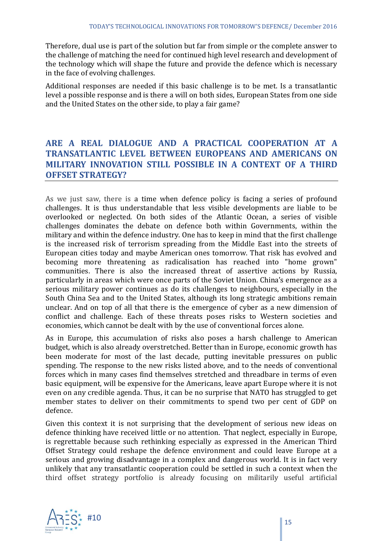Therefore, dual use is part of the solution but far from simple or the complete answer to the challenge of matching the need for continued high level research and development of the technology which will shape the future and provide the defence which is necessary in the face of evolving challenges.

Additional responses are needed if this basic challenge is to be met. Is a transatlantic level a possible response and is there a will on both sides, European States from one side and the United States on the other side, to play a fair game?

# **ARE A REAL DIALOGUE AND A PRACTICAL COOPERATION AT A TRANSATLANTIC LEVEL BETWEEN EUROPEANS AND AMERICANS ON MILITARY INNOVATION STILL POSSIBLE IN A CONTEXT OF A THIRD OFFSET STRATEGY?**

As we just saw, there is a time when defence policy is facing a series of profound challenges. It is thus understandable that less visible developments are liable to be overlooked or neglected. On both sides of the Atlantic Ocean, a series of visible challenges dominates the debate on defence both within Governments, within the military and within the defence industry. One has to keep in mind that the first challenge is the increased risk of terrorism spreading from the Middle East into the streets of European cities today and maybe American ones tomorrow. That risk has evolved and becoming more threatening as radicalisation has reached into "home grown" communities. There is also the increased threat of assertive actions by Russia, particularly in areas which were once parts of the Soviet Union. China's emergence as a serious military power continues as do its challenges to neighbours, especially in the South China Sea and to the United States, although its long strategic ambitions remain unclear. And on top of all that there is the emergence of cyber as a new dimension of conflict and challenge. Each of these threats poses risks to Western societies and economies, which cannot be dealt with by the use of conventional forces alone.

As in Europe, this accumulation of risks also poses a harsh challenge to American budget, which is also already overstretched. Better than in Europe, economic growth has been moderate for most of the last decade, putting inevitable pressures on public spending. The response to the new risks listed above, and to the needs of conventional forces which in many cases find themselves stretched and threadbare in terms of even basic equipment, will be expensive for the Americans, leave apart Europe where it is not even on any credible agenda. Thus, it can be no surprise that NATO has struggled to get member states to deliver on their commitments to spend two per cent of GDP on defence.

Given this context it is not surprising that the development of serious new ideas on defence thinking have received little or no attention. That neglect, especially in Europe, is regrettable because such rethinking especially as expressed in the American Third Offset Strategy could reshape the defence environment and could leave Europe at a serious and growing disadvantage in a complex and dangerous world. It is in fact very unlikely that any transatlantic cooperation could be settled in such a context when the third offset strategy portfolio is already focusing on militarily useful artificial

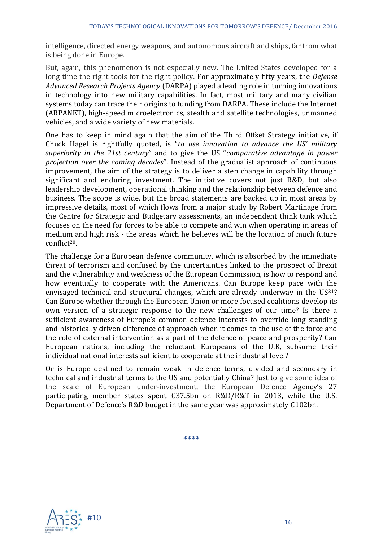intelligence, directed energy weapons, and autonomous aircraft and ships, far from what is being done in Europe.

But, again, this phenomenon is not especially new. The United States developed for a long time the right tools for the right policy. For approximately fifty years, the *Defense Advanced Research Projects Agency* (DARPA) played a leading role in turning innovations in technology into new military capabilities. In fact, most military and many civilian systems today can trace their origins to funding from DARPA. These include the Internet (ARPANET), high-speed microelectronics, stealth and satellite technologies, unmanned vehicles, and a wide variety of new materials.

One has to keep in mind again that the aim of the Third Offset Strategy initiative, if Chuck Hagel is rightfully quoted, is "*to use innovation to advance the US' military superiority in the 21st century*" and to give the US "*comparative advantage in power projection over the coming decades*". Instead of the gradualist approach of continuous improvement, the aim of the strategy is to deliver a step change in capability through significant and enduring investment. The initiative covers not just R&D, but also leadership development, operational thinking and the relationship between defence and business. The scope is wide, but the broad statements are backed up in most areas by impressive details, most of which flows from a major study by Robert Martinage from the Centre for Strategic and Budgetary assessments, an independent think tank which focuses on the need for forces to be able to compete and win when operating in areas of medium and high risk - the areas which he believes will be the location of much future conflict20.

The challenge for a European defence community, which is absorbed by the immediate threat of terrorism and confused by the uncertainties linked to the prospect of Brexit and the vulnerability and weakness of the European Commission, is how to respond and how eventually to cooperate with the Americans. Can Europe keep pace with the envisaged technical and structural changes, which are already underway in the  $US<sup>21</sup>$ ? Can Europe whether through the European Union or more focused coalitions develop its own version of a strategic response to the new challenges of our time? Is there a sufficient awareness of Europe's common defence interests to override long standing and historically driven difference of approach when it comes to the use of the force and the role of external intervention as a part of the defence of peace and prosperity? Can European nations, including the reluctant Europeans of the U.K, subsume their individual national interests sufficient to cooperate at the industrial level?

Or is Europe destined to remain weak in defence terms, divided and secondary in technical and industrial terms to the US and potentially China? Just to give some idea of the scale of European under-investment, the European Defence Agency's 27 participating member states spent €37.5bn on R&D/R&T in 2013, while the U.S. Department of Defence's R&D budget in the same year was approximately  $€102bn$ .

**\*\*\*\***

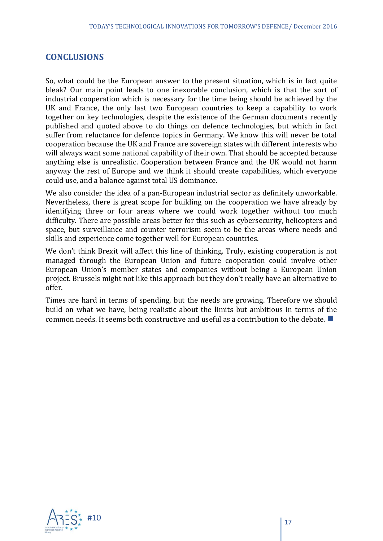#### **CONCLUSIONS**

So, what could be the European answer to the present situation, which is in fact quite bleak? Our main point leads to one inexorable conclusion, which is that the sort of industrial cooperation which is necessary for the time being should be achieved by the UK and France, the only last two European countries to keep a capability to work together on key technologies, despite the existence of the German documents recently published and quoted above to do things on defence technologies, but which in fact suffer from reluctance for defence topics in Germany. We know this will never be total cooperation because the UK and France are sovereign states with different interests who will always want some national capability of their own. That should be accepted because anything else is unrealistic. Cooperation between France and the UK would not harm anyway the rest of Europe and we think it should create capabilities, which everyone could use, and a balance against total US dominance.

We also consider the idea of a pan-European industrial sector as definitely unworkable. Nevertheless, there is great scope for building on the cooperation we have already by identifying three or four areas where we could work together without too much difficulty. There are possible areas better for this such as cybersecurity, helicopters and space, but surveillance and counter terrorism seem to be the areas where needs and skills and experience come together well for European countries.

We don't think Brexit will affect this line of thinking. Truly, existing cooperation is not managed through the European Union and future cooperation could involve other European Union's member states and companies without being a European Union project. Brussels might not like this approach but they don't really have an alternative to offer.

Times are hard in terms of spending, but the needs are growing. Therefore we should build on what we have, being realistic about the limits but ambitious in terms of the common needs. It seems both constructive and useful as a contribution to the debate.  $\blacksquare$ 

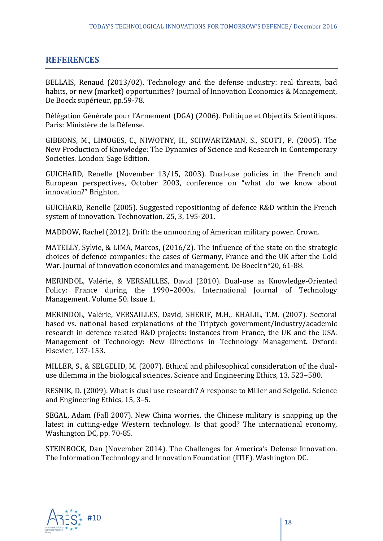#### **REFERENCES**

BELLAIS, Renaud (2013/02). Technology and the defense industry: real threats, bad habits, or new (market) opportunities? Journal of Innovation Economics & Management, De Boeck supérieur, pp.59-78.

Délégation Générale pour l'Armement (DGA) (2006). Politique et Objectifs Scientifiques. Paris: Ministère de la Défense.

GIBBONS, M., LIMOGES, C., NIWOTNY, H., SCHWARTZMAN, S., SCOTT, P. (2005). The New Production of Knowledge: The Dynamics of Science and Research in Contemporary Societies. London: Sage Edition.

GUICHARD, Renelle (November 13/15, 2003). Dual-use policies in the French and European perspectives, October 2003, conference on "what do we know about innovation?" Brighton.

GUICHARD, Renelle (2005). Suggested repositioning of defence R&D within the French system of innovation. Technovation. 25, 3, 195-201.

MADDOW, Rachel (2012). Drift: the unmooring of American military power. Crown.

MATELLY, Sylvie, & LIMA, Marcos, (2016/2). The influence of the state on the strategic choices of defence companies: the cases of Germany, France and the UK after the Cold War. Journal of innovation economics and management. De Boeck n°20, 61-88.

MERINDOL, Valérie, & VERSAILLES, David (2010). Dual-use as Knowledge-Oriented Policy: France during the 1990–2000s. International Journal of Technology Management. Volume 50. Issue 1.

MERINDOL, Valérie, VERSAILLES, David, SHERIF, M.H., KHALIL, T.M. (2007). Sectoral based vs. national based explanations of the Triptych government/industry/academic research in defence related R&D projects: instances from France, the UK and the USA. Management of Technology: New Directions in Technology Management. Oxford: Elsevier, 137-153.

MILLER, S., & SELGELID, M. (2007). Ethical and philosophical consideration of the dualuse dilemma in the biological sciences. Science and Engineering Ethics, 13, 523–580.

RESNIK, D. (2009). What is dual use research? A response to Miller and Selgelid. Science and Engineering Ethics, 15, 3–5.

SEGAL, Adam (Fall 2007). New China worries, the Chinese military is snapping up the latest in cutting-edge Western technology. Is that good? The international economy, Washington DC, pp. 70-85.

STEINBOCK, Dan (November 2014). The Challenges for America's Defense Innovation. The Information Technology and Innovation Foundation (ITIF). Washington DC.

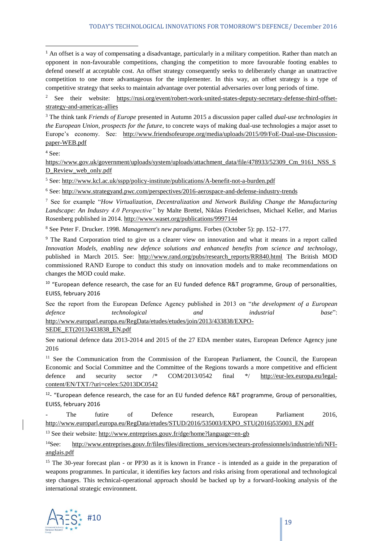<sup>2</sup> See their website: [https://rusi.org/event/robert-work-united-states-deputy-secretary-defense-third-offset](https://rusi.org/event/robert-work-united-states-deputy-secretary-defense-third-offset-strategy-and-americas-allies)[strategy-and-americas-allies](https://rusi.org/event/robert-work-united-states-deputy-secretary-defense-third-offset-strategy-and-americas-allies)

<sup>3</sup> The think tank *Friends of Europe* presented in Autumn 2015 a discussion paper called *dual-use technologies in the European Union, prospects for the future*, to concrete ways of making dual-use technologies a major asset to Europe's economy. See: [http://www.friendsofeurope.org/media/uploads/2015/09/FoE-Dual-use-Discussion](http://www.friendsofeurope.org/media/uploads/2015/09/FoE-Dual-use-Discussion-paper-WEB.pdf)[paper-WEB.pdf](http://www.friendsofeurope.org/media/uploads/2015/09/FoE-Dual-use-Discussion-paper-WEB.pdf)

<sup>4</sup> See:

 $\overline{a}$ 

[https://www.gov.uk/government/uploads/system/uploads/attachment\\_data/file/478933/52309\\_Cm\\_9161\\_NSS\\_S](https://www.gov.uk/government/uploads/system/uploads/attachment_data/file/478933/52309_Cm_9161_NSS_SD_Review_web_only.pdf) D Review web only.pdf

<sup>5</sup> See:<http://www.kcl.ac.uk/sspp/policy-institute/publications/A-benefit-not-a-burden.pdf>

<sup>6</sup> See:<http://www.strategyand.pwc.com/perspectives/2016-aerospace-and-defense-industry-trends>

<sup>7</sup> See for example "*How Virtualization, Decentralization and Network Building Change the Manufacturing Landscape: An Industry 4.0 Perspective"* by Malte Brettel, Niklas Friederichsen, Michael Keller, and Marius Rosenberg published in 2014.<http://www.waset.org/publications/9997144>

<sup>8</sup> See Peter F. Drucker. 1998. *Management's new paradigms.* Forbes (October 5): pp. 152–177.

<sup>9</sup> The Rand Corporation tried to give us a clearer view on innovation and what it means in a report called *Innovation Models, enabling new defence solutions and enhanced benefits from science and technology*, published in March 2015. See: [http://www.rand.org/pubs/research\\_reports/RR840.html](http://www.rand.org/pubs/research_reports/RR840.html) The British MOD commissioned RAND Europe to conduct this study on innovation models and to make recommendations on changes the MOD could make.

<sup>10</sup> "European defence research, the case for an EU funded defence R&T programme, Group of personalities, EUISS, february 2016

See the report from the European Defence Agency published in 2013 on "*the development of a European defence technological and industrial base*": [http://www.europarl.europa.eu/RegData/etudes/etudes/join/2013/433838/EXPO-](http://www.europarl.europa.eu/RegData/etudes/etudes/join/2013/433838/EXPO-SEDE_ET(2013)433838_EN.pdf)

[SEDE\\_ET\(2013\)433838\\_EN.pdf](http://www.europarl.europa.eu/RegData/etudes/etudes/join/2013/433838/EXPO-SEDE_ET(2013)433838_EN.pdf)

See national defence data 2013-2014 and 2015 of the 27 EDA member states, European Defence Agency june 2016

<sup>11</sup> See the Communication from the Commission of the European Parliament, the Council, the European Economic and Social Committee and the Committee of the Regions towards a more competitive and efficient defence and security sector /\* COM/2013/0542 final \*/ [http://eur-lex.europa.eu/legal](http://eur-lex.europa.eu/legal-content/EN/TXT/?uri=celex:52013DC0542)[content/EN/TXT/?uri=celex:52013DC0542](http://eur-lex.europa.eu/legal-content/EN/TXT/?uri=celex:52013DC0542)

<sup>12</sup>- "European defence research, the case for an EU funded defence R&T programme, Group of personalities, EUISS, february 2016

- The futire of Defence research, European Parliament 2016, [http://www.europarl.europa.eu/RegData/etudes/STUD/2016/535003/EXPO\\_STU\(2016\)535003\\_EN.pdf](http://www.europarl.europa.eu/RegData/etudes/STUD/2016/535003/EXPO_STU(2016)535003_EN.pdf)

<sup>13</sup> See their website:<http://www.entreprises.gouv.fr/dge/home?language=en-gb>

<sup>14</sup>See: [http://www.entreprises.gouv.fr/files/files/directions\\_services/secteurs-professionnels/industrie/nfi/NFI](http://www.entreprises.gouv.fr/files/files/directions_services/secteurs-professionnels/industrie/nfi/NFI-anglais.pdf)[anglais.pdf](http://www.entreprises.gouv.fr/files/files/directions_services/secteurs-professionnels/industrie/nfi/NFI-anglais.pdf)

<sup>15</sup> The 30-year forecast plan - or PP30 as it is known in France - is intended as a guide in the preparation of weapons programmes. In particular, it identifies key factors and risks arising from operational and technological step changes. This technical-operational approach should be backed up by a forward-looking analysis of the international strategic environment.



<sup>&</sup>lt;sup>1</sup> An offset is a way of compensating a disadvantage, particularly in a military competition. Rather than match an opponent in non-favourable competitions, changing the competition to more favourable footing enables to defend oneself at acceptable cost. An offset strategy consequently seeks to deliberately change an unattractive competition to one more advantageous for the implementer. In this way, an offset strategy is a type of competitive strategy that seeks to maintain advantage over potential adversaries over long periods of time.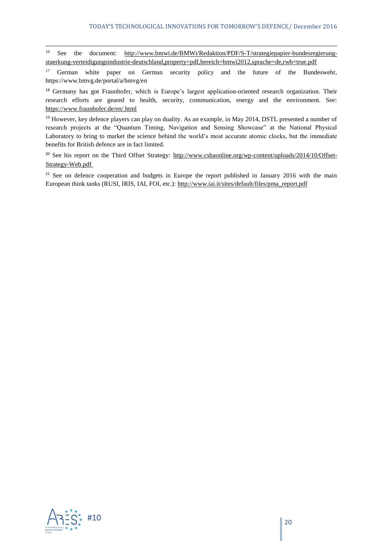<sup>16</sup> See the document: [http://www.bmwi.de/BMWi/Redaktion/PDF/S-T/strategiepapier-bundesregierung](http://www.bmwi.de/BMWi/Redaktion/PDF/S-T/strategiepapier-bundesregierung-staerkung-verteidigungsindustrie-deutschland,property=pdf,bereich=bmwi2012,sprache=de,rwb=true.pdf)[staerkung-verteidigungsindustrie-deutschland,property=pdf,bereich=bmwi2012,sprache=de,rwb=true.pdf](http://www.bmwi.de/BMWi/Redaktion/PDF/S-T/strategiepapier-bundesregierung-staerkung-verteidigungsindustrie-deutschland,property=pdf,bereich=bmwi2012,sprache=de,rwb=true.pdf)

<sup>17</sup> German white paper on German security policy and the future of the Bundeswehr, https://www.bmvg.de/portal/a/bmvg/en

<sup>18</sup> Germany has got Fraunhofer, which is Europe's largest application-oriented research organization. Their research efforts are geared to health, security, communication, energy and the environment. See: <https://www.fraunhofer.de/en/.html>

<sup>19</sup> However, key defence players can play on duality. As an example, in May 2014, DSTL presented a number of research projects at the "Quantum Timing, Navigation and Sensing Showcase" at the National Physical Laboratory to bring to market the science behind the world's most accurate atomic clocks, but the immediate benefits for British defence are in fact limited.

<sup>20</sup> See his report on the Third Offset Strategy: [http://www.csbaonline.org/wp-content/uploads/2014/10/Offset-](http://www.csbaonline.org/wp-content/uploads/2014/10/Offset-Strategy-Web.pdf)[Strategy-Web.pdf](http://www.csbaonline.org/wp-content/uploads/2014/10/Offset-Strategy-Web.pdf)

<sup>21</sup> See on defence cooperation and budgets in Europe the report published in January 2016 with the main European think tanks (RUSI, IRIS, IAI, FOI, etc.): [http://www.iai.it/sites/default/files/pma\\_report.pdf](http://www.iai.it/sites/default/files/pma_report.pdf)



 $\overline{a}$